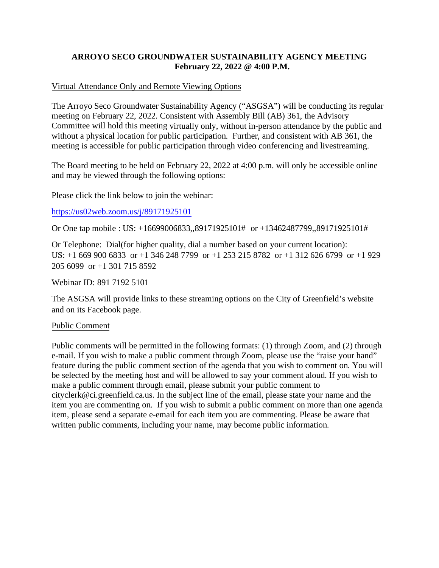# **ARROYO SECO GROUNDWATER SUSTAINABILITY AGENCY MEETING February 22, 2022 @ 4:00 P.M.**

### Virtual Attendance Only and Remote Viewing Options

The Arroyo Seco Groundwater Sustainability Agency ("ASGSA") will be conducting its regular meeting on February 22, 2022. Consistent with Assembly Bill (AB) 361, the Advisory Committee will hold this meeting virtually only, without in-person attendance by the public and without a physical location for public participation. Further, and consistent with AB 361, the meeting is accessible for public participation through video conferencing and livestreaming.

The Board meeting to be held on February 22, 2022 at 4:00 p.m. will only be accessible online and may be viewed through the following options:

Please click the link below to join the webinar:

#### [https://us02web.zoom.us/j/89171925101](https://gcc02.safelinks.protection.outlook.com/?url=https%3A%2F%2Fus02web.zoom.us%2Fj%2F89171925101&data=04%7C01%7Carathbun%40ci.greenfield.ca.us%7Cd9a1c25ab40f4a810ef408d9f240d656%7C52adf9cdcd76407fa0a4fe337a2cafc6%7C0%7C0%7C637807182562003312%7CUnknown%7CTWFpbGZsb3d8eyJWIjoiMC4wLjAwMDAiLCJQIjoiV2luMzIiLCJBTiI6Ik1haWwiLCJXVCI6Mn0%3D%7C3000&sdata=zgZnBF3ggovQxCO4wwvq9TmcxU1TLT6wtx1poZ8wzfg%3D&reserved=0)

Or One tap mobile : US: +16699006833,,89171925101# or +13462487799,,89171925101#

Or Telephone: Dial(for higher quality, dial a number based on your current location): US: +1 669 900 6833 or +1 346 248 7799 or +1 253 215 8782 or +1 312 626 6799 or +1 929 205 6099 or +1 301 715 8592

Webinar ID: 891 7192 5101

The ASGSA will provide links to these streaming options on the City of Greenfield's website and on its Facebook page.

#### Public Comment

Public comments will be permitted in the following formats: (1) through Zoom, and (2) through e-mail. If you wish to make a public comment through Zoom, please use the "raise your hand" feature during the public comment section of the agenda that you wish to comment on. You will be selected by the meeting host and will be allowed to say your comment aloud. If you wish to make a public comment through email, please submit your public comment to cityclerk@ci.greenfield.ca.us. In the subject line of the email, please state your name and the item you are commenting on. If you wish to submit a public comment on more than one agenda item, please send a separate e-email for each item you are commenting. Please be aware that written public comments, including your name, may become public information.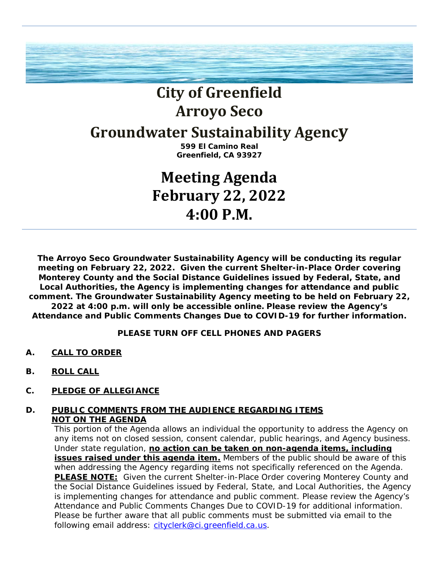

# **City of Greenfield Arroyo Seco**

# **Groundwater Sustainability Agency**

**599 El Camino Real Greenfield, CA 93927**

# **Meeting Agenda February 22, 2022 4:00 P.M.**

**The Arroyo Seco Groundwater Sustainability Agency will be conducting its regular meeting on February 22, 2022. Given the current Shelter-in-Place Order covering Monterey County and the Social Distance Guidelines issued by Federal, State, and Local Authorities, the Agency is implementing changes for attendance and public comment. The Groundwater Sustainability Agency meeting to be held on February 22, 2022 at 4:00 p.m. will only be accessible online. Please review the Agency's Attendance and Public Comments Changes Due to COVID-19 for further information.** 

# **PLEASE TURN OFF CELL PHONES AND PAGERS**

- **A. CALL TO ORDER**
- **B. ROLL CALL**
- **C. PLEDGE OF ALLEGIANCE**

# **D. PUBLIC COMMENTS FROM THE AUDIENCE REGARDING ITEMS NOT ON THE AGENDA**

This portion of the Agenda allows an individual the opportunity to address the Agency on any items not on closed session, consent calendar, public hearings, and Agency business. Under state regulation, **no action can be taken on non-agenda items, including** issues raised under this agenda item. Members of the public should be aware of this when addressing the Agency regarding items not specifically referenced on the Agenda. **PLEASE NOTE:** Given the current Shelter-in-Place Order covering Monterey County and the Social Distance Guidelines issued by Federal, State, and Local Authorities, the Agency is implementing changes for attendance and public comment. Please review the Agency's Attendance and Public Comments Changes Due to COVID-19 for additional information. Please be further aware that all public comments must be submitted via email to the following email address: [cityclerk@ci.greenfield.ca.us.](mailto:cityclerk@ci.greenfield.ca.us)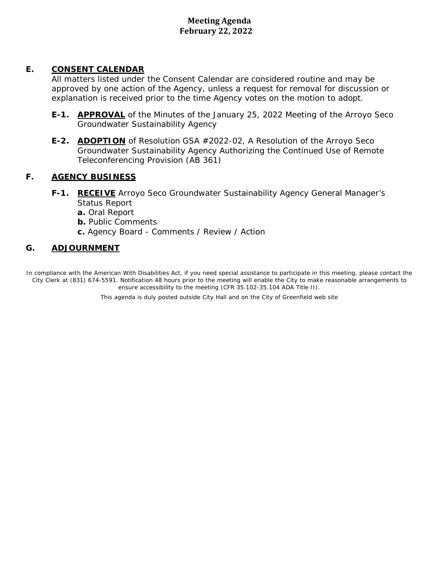# **Meeting Agenda February 22, 2022**

# **E. CONSENT CALENDAR**

All matters listed under the Consent Calendar are considered routine and may be approved by one action of the Agency, unless a request for removal for discussion or explanation is received prior to the time Agency votes on the motion to adopt.

- **E-1. APPROVAL** of the Minutes of the January 25, 2022 Meeting of the Arroyo Seco Groundwater Sustainability Agency
- **E-2. ADOPTION** of Resolution GSA #2022-02, A Resolution of the Arroyo Seco Groundwater Sustainability Agency Authorizing the Continued Use of Remote Teleconferencing Provision (AB 361)

## **F. AGENCY BUSINESS**

- **F-1. RECEIVE** Arroyo Seco Groundwater Sustainability Agency General Manager's Status Report
	- **a.** Oral Report
	- **b.** Public Comments
	- **c.** Agency Board Comments / Review / Action

# **G. ADJOURNMENT**

In compliance with the American With Disabilities Act, if you need special assistance to participate in this meeting, please contact the City Clerk at (831) 674-5591. Notification 48 hours prior to the meeting will enable the City to make reasonable arrangements to ensure accessibility to the meeting (CFR 35.102-35.104 ADA Title II). .................. This agenda is duly posted outside City Hall and on the City of Greenfield web site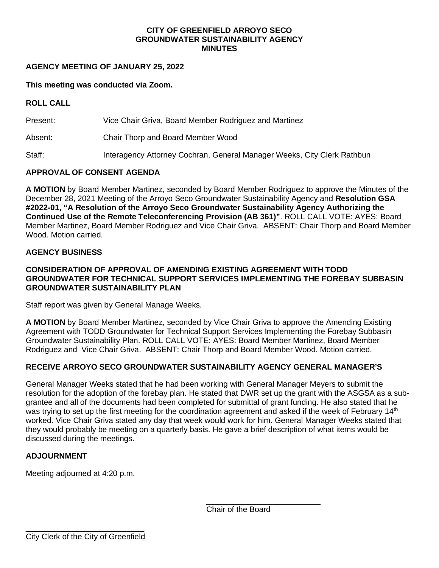#### **CITY OF GREENFIELD ARROYO SECO GROUNDWATER SUSTAINABILITY AGENCY MINUTES**

## **AGENCY MEETING OF JANUARY 25, 2022**

#### **This meeting was conducted via Zoom.**

#### **ROLL CALL**

Present: Vice Chair Griva, Board Member Rodriguez and Martinez

Absent: Chair Thorp and Board Member Wood

Staff: Interagency Attorney Cochran, General Manager Weeks, City Clerk Rathbun

# **APPROVAL OF CONSENT AGENDA**

**A MOTION** by Board Member Martinez, seconded by Board Member Rodriguez to approve the Minutes of the December 28, 2021 Meeting of the Arroyo Seco Groundwater Sustainability Agency and **Resolution GSA #2022-01, "A Resolution of the Arroyo Seco Groundwater Sustainability Agency Authorizing the Continued Use of the Remote Teleconferencing Provision (AB 361)"**. ROLL CALL VOTE: AYES: Board Member Martinez, Board Member Rodriguez and Vice Chair Griva. ABSENT: Chair Thorp and Board Member Wood. Motion carried.

#### **AGENCY BUSINESS**

#### **CONSIDERATION OF APPROVAL OF AMENDING EXISTING AGREEMENT WITH TODD GROUNDWATER FOR TECHNICAL SUPPORT SERVICES IMPLEMENTING THE FOREBAY SUBBASIN GROUNDWATER SUSTAINABILITY PLAN**

Staff report was given by General Manage Weeks.

**A MOTION** by Board Member Martinez, seconded by Vice Chair Griva to approve the Amending Existing Agreement with TODD Groundwater for Technical Support Services Implementing the Forebay Subbasin Groundwater Sustainability Plan. ROLL CALL VOTE: AYES: Board Member Martinez, Board Member Rodriguez and Vice Chair Griva. ABSENT: Chair Thorp and Board Member Wood. Motion carried.

# **RECEIVE ARROYO SECO GROUNDWATER SUSTAINABILITY AGENCY GENERAL MANAGER'S**

General Manager Weeks stated that he had been working with General Manager Meyers to submit the resolution for the adoption of the forebay plan. He stated that DWR set up the grant with the ASGSA as a subgrantee and all of the documents had been completed for submittal of grant funding. He also stated that he was trying to set up the first meeting for the coordination agreement and asked if the week of February 14<sup>th</sup> worked. Vice Chair Griva stated any day that week would work for him. General Manager Weeks stated that they would probably be meeting on a quarterly basis. He gave a brief description of what items would be discussed during the meetings.

#### **ADJOURNMENT**

Meeting adjourned at 4:20 p.m.

\_\_\_\_\_\_\_\_\_\_\_\_\_\_\_\_\_\_\_\_\_\_\_\_\_\_ Chair of the Board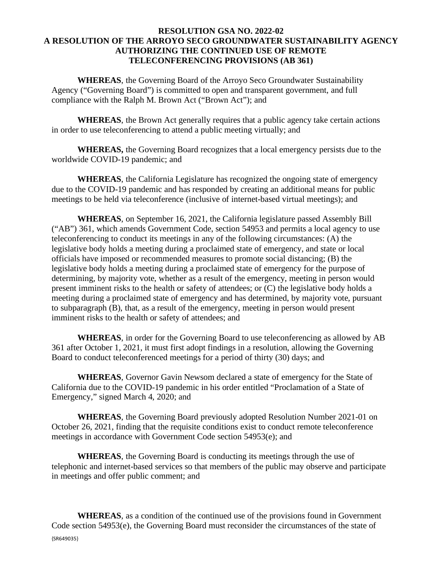## **RESOLUTION GSA NO. 2022-02 A RESOLUTION OF THE ARROYO SECO GROUNDWATER SUSTAINABILITY AGENCY AUTHORIZING THE CONTINUED USE OF REMOTE TELECONFERENCING PROVISIONS (AB 361)**

**WHEREAS**, the Governing Board of the Arroyo Seco Groundwater Sustainability Agency ("Governing Board") is committed to open and transparent government, and full compliance with the Ralph M. Brown Act ("Brown Act"); and

**WHEREAS**, the Brown Act generally requires that a public agency take certain actions in order to use teleconferencing to attend a public meeting virtually; and

**WHEREAS,** the Governing Board recognizes that a local emergency persists due to the worldwide COVID-19 pandemic; and

**WHEREAS**, the California Legislature has recognized the ongoing state of emergency due to the COVID-19 pandemic and has responded by creating an additional means for public meetings to be held via teleconference (inclusive of internet-based virtual meetings); and

**WHEREAS**, on September 16, 2021, the California legislature passed Assembly Bill ("AB") 361, which amends Government Code, section 54953 and permits a local agency to use teleconferencing to conduct its meetings in any of the following circumstances: (A) the legislative body holds a meeting during a proclaimed state of emergency, and state or local officials have imposed or recommended measures to promote social distancing; (B) the legislative body holds a meeting during a proclaimed state of emergency for the purpose of determining, by majority vote, whether as a result of the emergency, meeting in person would present imminent risks to the health or safety of attendees; or (C) the legislative body holds a meeting during a proclaimed state of emergency and has determined, by majority vote, pursuant to subparagraph (B), that, as a result of the emergency, meeting in person would present imminent risks to the health or safety of attendees; and

**WHEREAS**, in order for the Governing Board to use teleconferencing as allowed by AB 361 after October 1, 2021, it must first adopt findings in a resolution, allowing the Governing Board to conduct teleconferenced meetings for a period of thirty (30) days; and

**WHEREAS**, Governor Gavin Newsom declared a state of emergency for the State of California due to the COVID-19 pandemic in his order entitled "Proclamation of a State of Emergency," signed March 4, 2020; and

**WHEREAS**, the Governing Board previously adopted Resolution Number 2021-01 on October 26, 2021, finding that the requisite conditions exist to conduct remote teleconference meetings in accordance with Government Code section 54953(e); and

**WHEREAS**, the Governing Board is conducting its meetings through the use of telephonic and internet-based services so that members of the public may observe and participate in meetings and offer public comment; and

{SR649035} **WHEREAS**, as a condition of the continued use of the provisions found in Government Code section 54953(e), the Governing Board must reconsider the circumstances of the state of